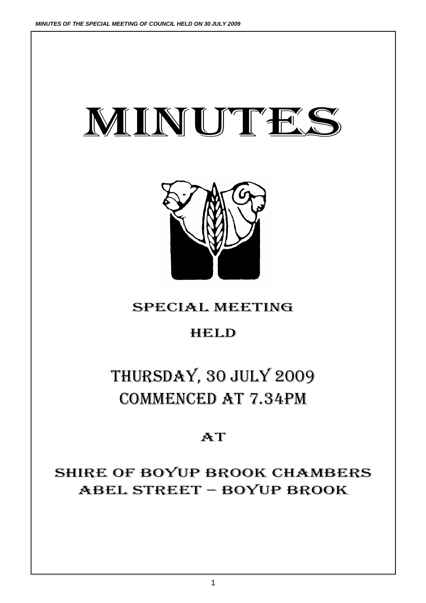# MINUTES

## THURSDAY, 30 JULY 2009 COMMENCED AT 7.34PM

SPECIAL MEETING

HELD

## **AT**

## SHIRE OF BOYUP BROOK CHAMBERS ABEL STREET – BOYUP BROOK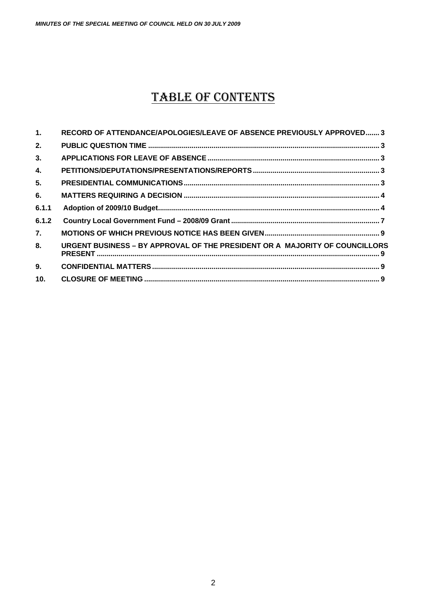*MINUTES OF THE SPECIAL MEETING OF COUNCIL HELD ON 30 JULY 2009*

### TABLE OF CONTENTS

| $\mathbf{1}$ . | RECORD OF ATTENDANCE/APOLOGIES/LEAVE OF ABSENCE PREVIOUSLY APPROVED 3       |
|----------------|-----------------------------------------------------------------------------|
| 2.             |                                                                             |
| 3.             |                                                                             |
| $\mathbf{4}$   |                                                                             |
| 5.             |                                                                             |
| 6.             |                                                                             |
| 6.1.1          |                                                                             |
| 6.1.2          |                                                                             |
| 7.             |                                                                             |
| 8.             | URGENT BUSINESS - BY APPROVAL OF THE PRESIDENT OR A MAJORITY OF COUNCILLORS |
| 9.             |                                                                             |
| 10.            |                                                                             |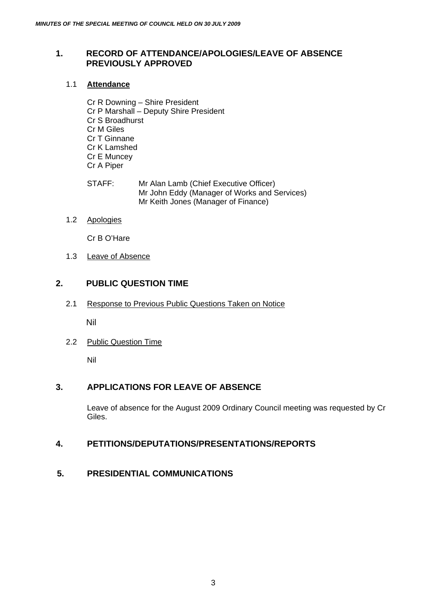#### <span id="page-2-0"></span>**1. RECORD OF ATTENDANCE/APOLOGIES/LEAVE OF ABSENCE PREVIOUSLY APPROVED**

#### 1.1 **Attendance**

Cr R Downing – Shire President Cr P Marshall – Deputy Shire President Cr S Broadhurst Cr M Giles Cr T Ginnane Cr K Lamshed Cr E Muncey Cr A Piper

STAFF: Mr Alan Lamb (Chief Executive Officer) Mr John Eddy (Manager of Works and Services) Mr Keith Jones (Manager of Finance)

#### 1.2 Apologies

Cr B O'Hare

1.3 Leave of Absence

#### **2. PUBLIC QUESTION TIME**

2.1 Response to Previous Public Questions Taken on Notice

Nil

2.2 Public Question Time

Nil

#### **3. APPLICATIONS FOR LEAVE OF ABSENCE**

Leave of absence for the August 2009 Ordinary Council meeting was requested by Cr Giles.

#### **4. PETITIONS/DEPUTATIONS/PRESENTATIONS/REPORTS**

**5. PRESIDENTIAL COMMUNICATIONS**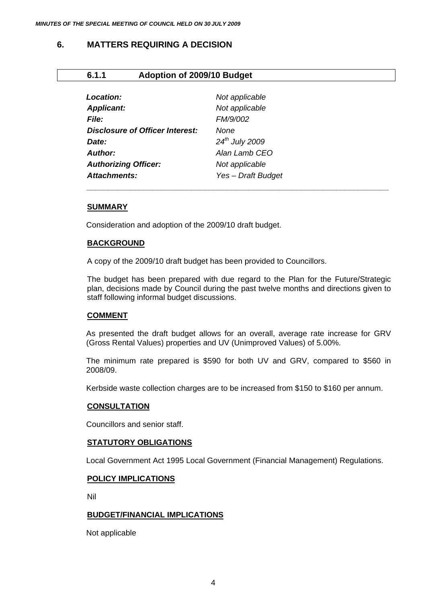#### <span id="page-3-0"></span>**6. MATTERS REQUIRING A DECISION**

#### **6.1.1 Adoption of 2009/10 Budget**

| Not applicable             |  |
|----------------------------|--|
| Not applicable             |  |
| FM/9/002                   |  |
| None                       |  |
| 24 <sup>th</sup> July 2009 |  |
| Alan Lamb CEO              |  |
| Not applicable             |  |
| Yes - Draft Budget         |  |
|                            |  |

#### **SUMMARY**

Consideration and adoption of the 2009/10 draft budget.

#### **BACKGROUND**

A copy of the 2009/10 draft budget has been provided to Councillors.

The budget has been prepared with due regard to the Plan for the Future/Strategic plan, decisions made by Council during the past twelve months and directions given to staff following informal budget discussions.

*\_\_\_\_\_\_\_\_\_\_\_\_\_\_\_\_\_\_\_\_\_\_\_\_\_\_\_\_\_\_\_\_\_\_\_\_\_\_\_\_\_\_\_\_\_\_\_\_\_\_\_\_\_\_\_\_\_\_\_\_\_\_\_\_\_\_\_\_\_* 

#### **COMMENT**

As presented the draft budget allows for an overall, average rate increase for GRV (Gross Rental Values) properties and UV (Unimproved Values) of 5.00%.

The minimum rate prepared is \$590 for both UV and GRV, compared to \$560 in 2008/09.

Kerbside waste collection charges are to be increased from \$150 to \$160 per annum.

#### **CONSULTATION**

Councillors and senior staff.

#### **STATUTORY OBLIGATIONS**

Local Government Act 1995 Local Government (Financial Management) Regulations.

#### **POLICY IMPLICATIONS**

Nil

#### **BUDGET/FINANCIAL IMPLICATIONS**

Not applicable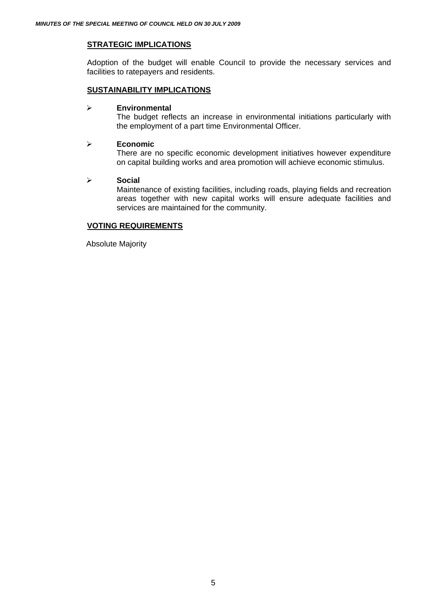#### **STRATEGIC IMPLICATIONS**

Adoption of the budget will enable Council to provide the necessary services and facilities to ratepayers and residents.

#### **SUSTAINABILITY IMPLICATIONS**

#### ¾ **Environmental**

The budget reflects an increase in environmental initiations particularly with the employment of a part time Environmental Officer.

#### ¾ **Economic**

There are no specific economic development initiatives however expenditure on capital building works and area promotion will achieve economic stimulus.

#### ¾ **Social**

Maintenance of existing facilities, including roads, playing fields and recreation areas together with new capital works will ensure adequate facilities and services are maintained for the community.

#### **VOTING REQUIREMENTS**

Absolute Majority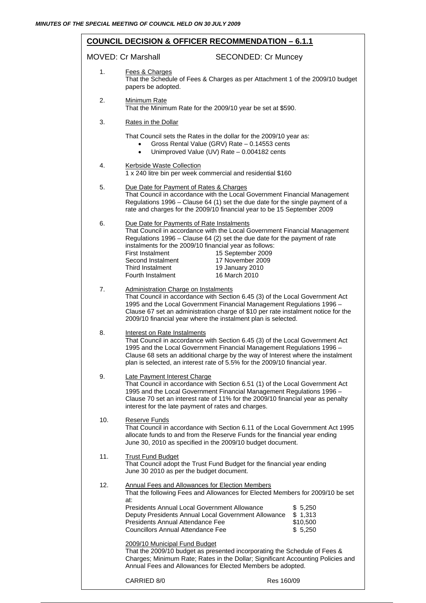Res 160/09 **COUNCIL DECISION & OFFICER RECOMMENDATION – 6.1.1** MOVED: Cr Marshall SECONDED: Cr Muncey 1. Fees & Charges That the Schedule of Fees & Charges as per Attachment 1 of the 2009/10 budget papers be adopted. 2. Minimum Rate That the Minimum Rate for the 2009/10 year be set at \$590. 3. Rates in the Dollar That Council sets the Rates in the dollar for the 2009/10 year as: • Gross Rental Value (GRV) Rate – 0.14553 cents • Unimproved Value (UV) Rate – 0.004182 cents 4. Kerbside Waste Collection 1 x 240 litre bin per week commercial and residential \$160 5. Due Date for Payment of Rates & Charges That Council in accordance with the Local Government Financial Management Regulations 1996 – Clause 64 (1) set the due date for the single payment of a rate and charges for the 2009/10 financial year to be 15 September 2009 6. Due Date for Payments of Rate Instalments That Council in accordance with the Local Government Financial Management Regulations 1996 – Clause 64 (2) set the due date for the payment of rate instalments for the 2009/10 financial year as follows: First Instalment 15 September 2009<br>Second Instalment 17 November 2009 17 November 2009 Third Instalment 19 January 2010 Fourth Instalment 16 March 2010 7. Administration Charge on Instalments That Council in accordance with Section 6.45 (3) of the Local Government Act 1995 and the Local Government Financial Management Regulations 1996 – Clause 67 set an administration charge of \$10 per rate instalment notice for the 2009/10 financial year where the instalment plan is selected. 8. Interest on Rate Instalments That Council in accordance with Section 6.45 (3) of the Local Government Act 1995 and the Local Government Financial Management Regulations 1996 – Clause 68 sets an additional charge by the way of Interest where the instalment plan is selected, an interest rate of 5.5% for the 2009/10 financial year. 9. Late Payment Interest Charge That Council in accordance with Section 6.51 (1) of the Local Government Act 1995 and the Local Government Financial Management Regulations 1996 – Clause 70 set an interest rate of 11% for the 2009/10 financial year as penalty interest for the late payment of rates and charges. 10. Reserve Funds That Council in accordance with Section 6.11 of the Local Government Act 1995 allocate funds to and from the Reserve Funds for the financial year ending June 30, 2010 as specified in the 2009/10 budget document. 11. Trust Fund Budget That Council adopt the Trust Fund Budget for the financial year ending June 30 2010 as per the budget document. 12. Annual Fees and Allowances for Election Members That the following Fees and Allowances for Elected Members for 2009/10 be set at: Presidents Annual Local Government Allowance  $$5.250$ Deputy Presidents Annual Local Government Allowance \$ 1,313 Presidents Annual Attendance Fee \$10,500 Councillors Annual Attendance Fee \$ 5,250 2009/10 Municipal Fund Budget That the 2009/10 budget as presented incorporating the Schedule of Fees & Charges; Minimum Rate; Rates in the Dollar; Significant Accounting Policies and Annual Fees and Allowances for Elected Members be adopted.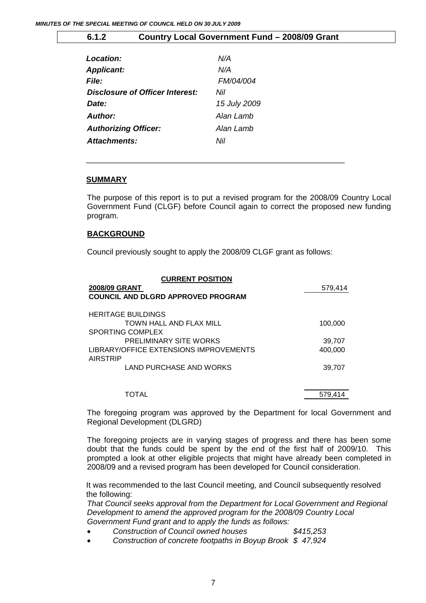<span id="page-6-0"></span>

| 6.1.2                       | Country Local Government Fund - 2008/09 Grant |              |  |
|-----------------------------|-----------------------------------------------|--------------|--|
|                             |                                               |              |  |
| Location:                   |                                               | N/A          |  |
| <b>Applicant:</b>           |                                               | N/A          |  |
| <b>File:</b>                |                                               | FM/04/004    |  |
|                             | Disclosure of Officer Interest:               | Nil          |  |
| Date:                       |                                               | 15 July 2009 |  |
| Author:                     |                                               | Alan Lamb    |  |
| <b>Authorizing Officer:</b> |                                               | Alan Lamb    |  |
| Attachments:                |                                               | Nil          |  |
|                             |                                               |              |  |

\_\_\_\_\_\_\_\_\_\_\_\_\_\_\_\_\_\_\_\_\_\_\_\_\_\_\_\_\_\_\_\_\_\_\_\_\_\_\_\_\_\_\_\_\_\_\_\_\_\_\_\_\_\_\_\_\_\_\_

#### **SUMMARY**

The purpose of this report is to put a revised program for the 2008/09 Country Local Government Fund (CLGF) before Council again to correct the proposed new funding program.

#### **BACKGROUND**

Council previously sought to apply the 2008/09 CLGF grant as follows:

| <b>CURRENT POSITION</b>                |         |
|----------------------------------------|---------|
| <b>2008/09 GRANT</b>                   | 579,414 |
| COUNCIL AND DLGRD APPROVED PROGRAM     |         |
| <b>HERITAGE BUILDINGS</b>              |         |
| TOWN HALL AND FLAX MILL                | 100,000 |
| <b>SPORTING COMPLEX</b>                |         |
| <b>PRELIMINARY SITE WORKS</b>          | 39,707  |
| LIBRARY/OFFICE EXTENSIONS IMPROVEMENTS | 400,000 |
| AIRSTRIP                               |         |
| LAND PURCHASE AND WORKS                | 39.707  |
| TOTAL                                  | 579.414 |

The foregoing program was approved by the Department for local Government and Regional Development (DLGRD)

The foregoing projects are in varying stages of progress and there has been some doubt that the funds could be spent by the end of the first half of 2009/10. This prompted a look at other eligible projects that might have already been completed in 2008/09 and a revised program has been developed for Council consideration.

It was recommended to the last Council meeting, and Council subsequently resolved the following:

*That Council seeks approval from the Department for Local Government and Regional Development to amend the approved program for the 2008/09 Country Local Government Fund grant and to apply the funds as follows:* 

- *Construction of Council owned houses \$415,253*
- *Construction of concrete footpaths in Boyup Brook \$ 47,924*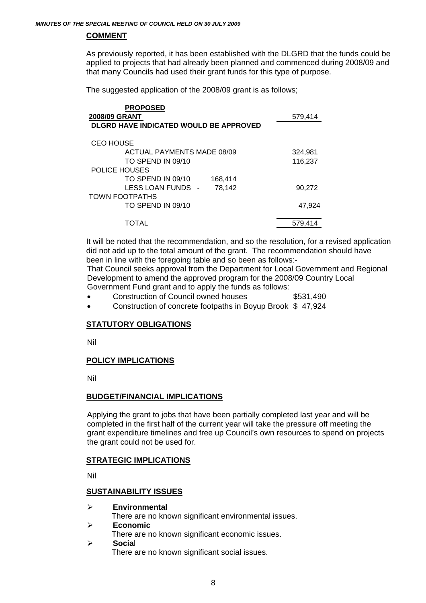#### **COMMENT**

As previously reported, it has been established with the DLGRD that the funds could be applied to projects that had already been planned and commenced during 2008/09 and that many Councils had used their grant funds for this type of purpose.

The suggested application of the 2008/09 grant is as follows;

| <b>PROPOSED</b>                        |         |
|----------------------------------------|---------|
| 2008/09 GRANT                          | 579,414 |
| DLGRD HAVE INDICATED WOULD BE APPROVED |         |
| <b>CEO HOUSE</b>                       |         |
| <b>ACTUAL PAYMENTS MADE 08/09</b>      | 324,981 |
| TO SPEND IN 09/10                      | 116,237 |
| POLICE HOUSES                          |         |
| TO SPEND IN 09/10<br>168,414           |         |
| LESS LOAN FUNDS -<br>78,142            | 90,272  |
| TOWN FOOTPATHS                         |         |
| TO SPEND IN 09/10                      | 47,924  |
| TOTAL                                  | 579.414 |

It will be noted that the recommendation, and so the resolution, for a revised application did not add up to the total amount of the grant. The recommendation should have been in line with the foregoing table and so been as follows:-

That Council seeks approval from the Department for Local Government and Regional Development to amend the approved program for the 2008/09 Country Local Government Fund grant and to apply the funds as follows:

- Construction of Council owned houses  $$531,490$
- Construction of concrete footpaths in Boyup Brook \$ 47,924

#### **STATUTORY OBLIGATIONS**

Nil

#### **POLICY IMPLICATIONS**

Nil

#### **BUDGET/FINANCIAL IMPLICATIONS**

Applying the grant to jobs that have been partially completed last year and will be completed in the first half of the current year will take the pressure off meeting the grant expenditure timelines and free up Council's own resources to spend on projects the grant could not be used for.

#### **STRATEGIC IMPLICATIONS**

Nil

#### **SUSTAINABILITY ISSUES**

¾ **Environmental** 

There are no known significant environmental issues.

- ¾ **Economic** 
	- There are no known significant economic issues.
- ¾ **Socia**l There are no known significant social issues.